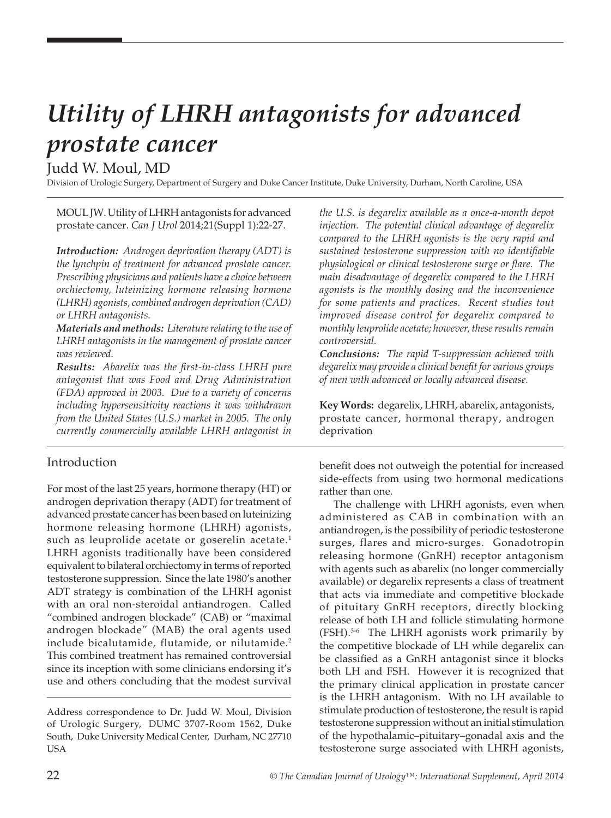# *Utility of LHRH antagonists for advanced prostate cancer*

## Judd W. Moul, MD

Division of Urologic Surgery, Department of Surgery and Duke Cancer Institute, Duke University, Durham, North Caroline, USA

MOUL JW. Utility of LHRH antagonists for advanced prostate cancer. *Can J Urol* 2014;21(Suppl 1):22-27.

*Introduction: Androgen deprivation therapy (ADT) is the lynchpin of treatment for advanced prostate cancer. Prescribing physicians and patients have a choice between orchiectomy, luteinizing hormone releasing hormone (LHRH) agonists, combined androgen deprivation (CAD) or LHRH antagonists.* 

*Materials and methods: Literature relating to the use of LHRH antagonists in the management of prostate cancer was reviewed.*

*Results: Abarelix was the first-in-class LHRH pure antagonist that was Food and Drug Administration (FDA) approved in 2003. Due to a variety of concerns including hypersensitivity reactions it was withdrawn from the United States (U.S.) market in 2005. The only currently commercially available LHRH antagonist in* 

## Introduction

For most of the last 25 years, hormone therapy (HT) or androgen deprivation therapy (ADT) for treatment of advanced prostate cancer has been based on luteinizing hormone releasing hormone (LHRH) agonists, such as leuprolide acetate or goserelin acetate.<sup>1</sup> LHRH agonists traditionally have been considered equivalent to bilateral orchiectomy in terms of reported testosterone suppression. Since the late 1980's another ADT strategy is combination of the LHRH agonist with an oral non-steroidal antiandrogen. Called "combined androgen blockade" (CAB) or "maximal androgen blockade" (MAB) the oral agents used include bicalutamide, flutamide, or nilutamide.<sup>2</sup> This combined treatment has remained controversial since its inception with some clinicians endorsing it's use and others concluding that the modest survival

*the U.S. is degarelix available as a once-a-month depot injection. The potential clinical advantage of degarelix compared to the LHRH agonists is the very rapid and sustained testosterone suppression with no identifiable physiological or clinical testosterone surge or flare. The main disadvantage of degarelix compared to the LHRH agonists is the monthly dosing and the inconvenience for some patients and practices. Recent studies tout improved disease control for degarelix compared to monthly leuprolide acetate; however, these results remain controversial.* 

*Conclusions: The rapid T-suppression achieved with degarelix may provide a clinical benefit for various groups of men with advanced or locally advanced disease.*

**Key Words:** degarelix, LHRH, abarelix, antagonists, prostate cancer, hormonal therapy, androgen deprivation

benefit does not outweigh the potential for increased side-effects from using two hormonal medications rather than one.

The challenge with LHRH agonists, even when administered as CAB in combination with an antiandrogen, is the possibility of periodic testosterone surges, flares and micro-surges. Gonadotropin releasing hormone (GnRH) receptor antagonism with agents such as abarelix (no longer commercially available) or degarelix represents a class of treatment that acts via immediate and competitive blockade of pituitary GnRH receptors, directly blocking release of both LH and follicle stimulating hormone (FSH).3-6 The LHRH agonists work primarily by the competitive blockade of LH while degarelix can be classified as a GnRH antagonist since it blocks both LH and FSH. However it is recognized that the primary clinical application in prostate cancer is the LHRH antagonism. With no LH available to stimulate production of testosterone, the result is rapid testosterone suppression without an initial stimulation of the hypothalamic–pituitary–gonadal axis and the testosterone surge associated with LHRH agonists,

Address correspondence to Dr. Judd W. Moul, Division of Urologic Surgery, DUMC 3707-Room 1562, Duke South, Duke University Medical Center, Durham, NC 27710 USA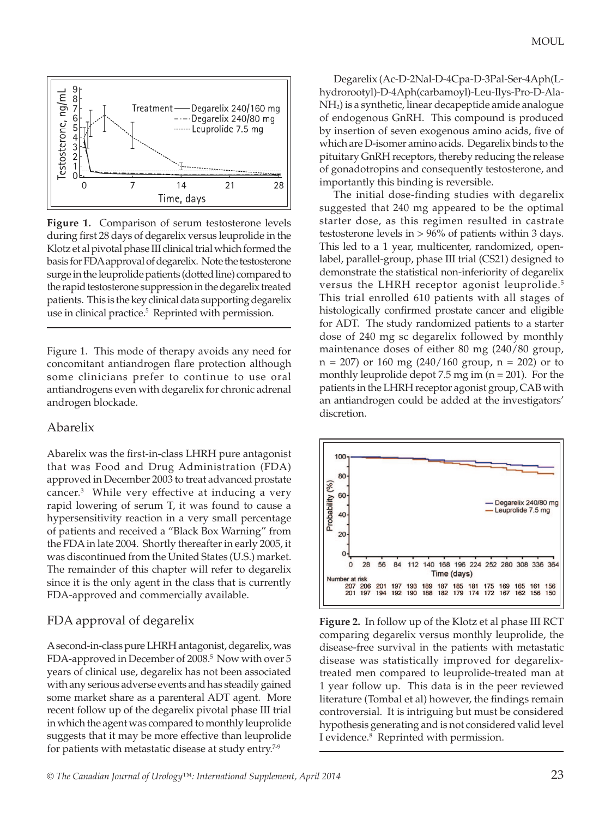

**Figure 1.** Comparison of serum testosterone levels during first 28 days of degarelix versus leuprolide in the Klotz et al pivotal phase III clinical trial which formed the basis for FDA approval of degarelix. Note the testosterone surge in the leuprolide patients (dotted line) compared to the rapid testosterone suppression in the degarelix treated patients. This is the key clinical data supporting degarelix use in clinical practice.<sup>5</sup> Reprinted with permission.

Figure 1. This mode of therapy avoids any need for concomitant antiandrogen flare protection although some clinicians prefer to continue to use oral antiandrogens even with degarelix for chronic adrenal androgen blockade.

#### Abarelix

Abarelix was the first-in-class LHRH pure antagonist that was Food and Drug Administration (FDA) approved in December 2003 to treat advanced prostate cancer.3 While very effective at inducing a very rapid lowering of serum T, it was found to cause a hypersensitivity reaction in a very small percentage of patients and received a "Black Box Warning" from the FDA in late 2004. Shortly thereafter in early 2005, it was discontinued from the United States (U.S.) market. The remainder of this chapter will refer to degarelix since it is the only agent in the class that is currently FDA-approved and commercially available.

## FDA approval of degarelix

A second-in-class pure LHRH antagonist, degarelix, was FDA-approved in December of 2008.<sup>5</sup> Now with over 5 years of clinical use, degarelix has not been associated with any serious adverse events and has steadily gained some market share as a parenteral ADT agent. More recent follow up of the degarelix pivotal phase III trial in which the agent was compared to monthly leuprolide suggests that it may be more effective than leuprolide for patients with metastatic disease at study entry.<sup>7-9</sup>

Degarelix (Ac-D-2Nal-D-4Cpa-D-3Pal-Ser-4Aph(Lhydrorootyl)-D-4Aph(carbamoyl)-Leu-Ilys-Pro-D-Ala-NH2) is a synthetic, linear decapeptide amide analogue of endogenous GnRH. This compound is produced by insertion of seven exogenous amino acids, five of which are D-isomer amino acids. Degarelix binds to the pituitary GnRH receptors, thereby reducing the release of gonadotropins and consequently testosterone, and importantly this binding is reversible.

The initial dose-finding studies with degarelix suggested that 240 mg appeared to be the optimal starter dose, as this regimen resulted in castrate testosterone levels in > 96% of patients within 3 days. This led to a 1 year, multicenter, randomized, openlabel, parallel-group, phase III trial (CS21) designed to demonstrate the statistical non-inferiority of degarelix versus the LHRH receptor agonist leuprolide.5 This trial enrolled 610 patients with all stages of histologically confirmed prostate cancer and eligible for ADT. The study randomized patients to a starter dose of 240 mg sc degarelix followed by monthly maintenance doses of either 80 mg (240/80 group,  $n = 207$ ) or 160 mg  $(240/160 \text{ group}, n = 202)$  or to monthly leuprolide depot 7.5 mg im  $(n = 201)$ . For the patients in the LHRH receptor agonist group, CAB with an antiandrogen could be added at the investigators' discretion.



**Figure 2.** In follow up of the Klotz et al phase III RCT comparing degarelix versus monthly leuprolide, the disease-free survival in the patients with metastatic disease was statistically improved for degarelixtreated men compared to leuprolide-treated man at 1 year follow up. This data is in the peer reviewed literature (Tombal et al) however, the findings remain controversial. It is intriguing but must be considered hypothesis generating and is not considered valid level I evidence.<sup>8</sup> Reprinted with permission.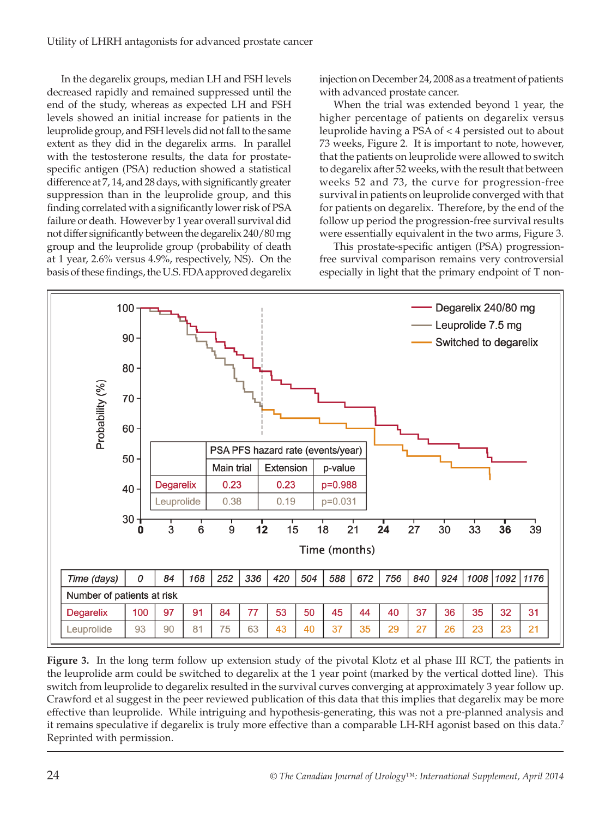In the degarelix groups, median LH and FSH levels decreased rapidly and remained suppressed until the end of the study, whereas as expected LH and FSH levels showed an initial increase for patients in the leuprolide group, and FSH levels did not fall to the same extent as they did in the degarelix arms. In parallel with the testosterone results, the data for prostatespecific antigen (PSA) reduction showed a statistical difference at 7, 14, and 28 days, with significantly greater suppression than in the leuprolide group, and this finding correlated with a significantly lower risk of PSA failure or death. However by 1 year overall survival did not differ significantly between the degarelix 240/80 mg group and the leuprolide group (probability of death at 1 year, 2.6% versus 4.9%, respectively, NS). On the basis of these findings, the U.S. FDA approved degarelix

injection on December 24, 2008 as a treatment of patients with advanced prostate cancer.

When the trial was extended beyond 1 year, the higher percentage of patients on degarelix versus leuprolide having a PSA of < 4 persisted out to about 73 weeks, Figure 2. It is important to note, however, that the patients on leuprolide were allowed to switch to degarelix after 52 weeks, with the result that between weeks 52 and 73, the curve for progression-free survival in patients on leuprolide converged with that for patients on degarelix. Therefore, by the end of the follow up period the progression-free survival results were essentially equivalent in the two arms, Figure 3.

This prostate-specific antigen (PSA) progressionfree survival comparison remains very controversial especially in light that the primary endpoint of T non-



**Figure 3.** In the long term follow up extension study of the pivotal Klotz et al phase III RCT, the patients in the leuprolide arm could be switched to degarelix at the 1 year point (marked by the vertical dotted line). This switch from leuprolide to degarelix resulted in the survival curves converging at approximately 3 year follow up. Crawford et al suggest in the peer reviewed publication of this data that this implies that degarelix may be more effective than leuprolide. While intriguing and hypothesis-generating, this was not a pre-planned analysis and it remains speculative if degarelix is truly more effective than a comparable LH-RH agonist based on this data.<sup>7</sup> Reprinted with permission.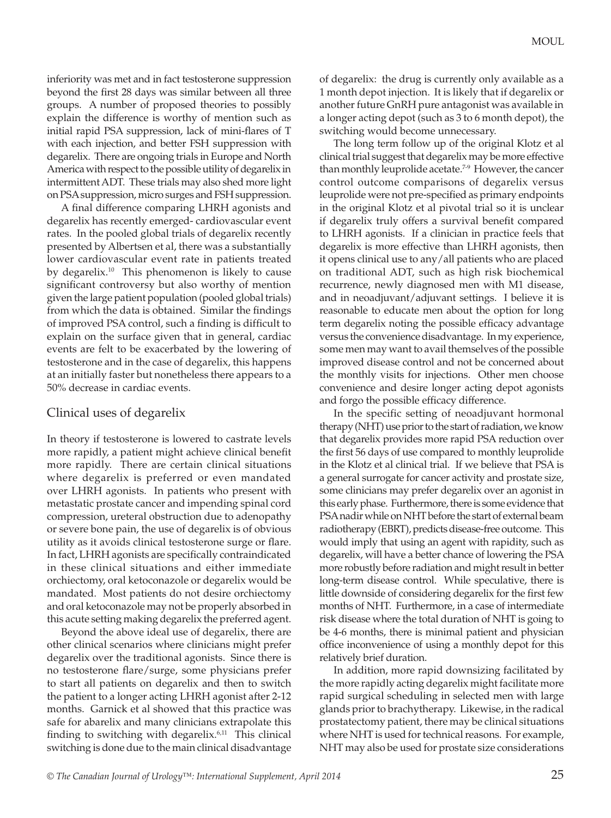inferiority was met and in fact testosterone suppression beyond the first 28 days was similar between all three groups. A number of proposed theories to possibly explain the difference is worthy of mention such as initial rapid PSA suppression, lack of mini-flares of T with each injection, and better FSH suppression with degarelix. There are ongoing trials in Europe and North America with respect to the possible utility of degarelix in intermittent ADT. These trials may also shed more light on PSA suppression, micro surges and FSH suppression.

A final difference comparing LHRH agonists and degarelix has recently emerged- cardiovascular event rates. In the pooled global trials of degarelix recently presented by Albertsen et al, there was a substantially lower cardiovascular event rate in patients treated by degarelix.<sup>10</sup> This phenomenon is likely to cause significant controversy but also worthy of mention given the large patient population (pooled global trials) from which the data is obtained. Similar the findings of improved PSA control, such a finding is difficult to explain on the surface given that in general, cardiac events are felt to be exacerbated by the lowering of testosterone and in the case of degarelix, this happens at an initially faster but nonetheless there appears to a 50% decrease in cardiac events.

#### Clinical uses of degarelix

In theory if testosterone is lowered to castrate levels more rapidly, a patient might achieve clinical benefit more rapidly. There are certain clinical situations where degarelix is preferred or even mandated over LHRH agonists. In patients who present with metastatic prostate cancer and impending spinal cord compression, ureteral obstruction due to adenopathy or severe bone pain, the use of degarelix is of obvious utility as it avoids clinical testosterone surge or flare. In fact, LHRH agonists are specifically contraindicated in these clinical situations and either immediate orchiectomy, oral ketoconazole or degarelix would be mandated. Most patients do not desire orchiectomy and oral ketoconazole may not be properly absorbed in this acute setting making degarelix the preferred agent.

Beyond the above ideal use of degarelix, there are other clinical scenarios where clinicians might prefer degarelix over the traditional agonists. Since there is no testosterone flare/surge, some physicians prefer to start all patients on degarelix and then to switch the patient to a longer acting LHRH agonist after 2-12 months. Garnick et al showed that this practice was safe for abarelix and many clinicians extrapolate this finding to switching with degarelix. $6,11$  This clinical switching is done due to the main clinical disadvantage

of degarelix: the drug is currently only available as a 1 month depot injection. It is likely that if degarelix or another future GnRH pure antagonist was available in a longer acting depot (such as 3 to 6 month depot), the switching would become unnecessary.

The long term follow up of the original Klotz et al clinical trial suggest that degarelix may be more effective than monthly leuprolide acetate.<sup>7-9</sup> However, the cancer control outcome comparisons of degarelix versus leuprolide were not pre-specified as primary endpoints in the original Klotz et al pivotal trial so it is unclear if degarelix truly offers a survival benefit compared to LHRH agonists. If a clinician in practice feels that degarelix is more effective than LHRH agonists, then it opens clinical use to any/all patients who are placed on traditional ADT, such as high risk biochemical recurrence, newly diagnosed men with M1 disease, and in neoadjuvant/adjuvant settings. I believe it is reasonable to educate men about the option for long term degarelix noting the possible efficacy advantage versus the convenience disadvantage. In my experience, some men may want to avail themselves of the possible improved disease control and not be concerned about the monthly visits for injections. Other men choose convenience and desire longer acting depot agonists and forgo the possible efficacy difference.

In the specific setting of neoadjuvant hormonal therapy (NHT) use prior to the start of radiation, we know that degarelix provides more rapid PSA reduction over the first 56 days of use compared to monthly leuprolide in the Klotz et al clinical trial. If we believe that PSA is a general surrogate for cancer activity and prostate size, some clinicians may prefer degarelix over an agonist in this early phase. Furthermore, there is some evidence that PSA nadir while on NHT before the start of external beam radiotherapy (EBRT), predicts disease-free outcome. This would imply that using an agent with rapidity, such as degarelix, will have a better chance of lowering the PSA more robustly before radiation and might result in better long-term disease control. While speculative, there is little downside of considering degarelix for the first few months of NHT. Furthermore, in a case of intermediate risk disease where the total duration of NHT is going to be 4-6 months, there is minimal patient and physician office inconvenience of using a monthly depot for this relatively brief duration.

In addition, more rapid downsizing facilitated by the more rapidly acting degarelix might facilitate more rapid surgical scheduling in selected men with large glands prior to brachytherapy. Likewise, in the radical prostatectomy patient, there may be clinical situations where NHT is used for technical reasons. For example, NHT may also be used for prostate size considerations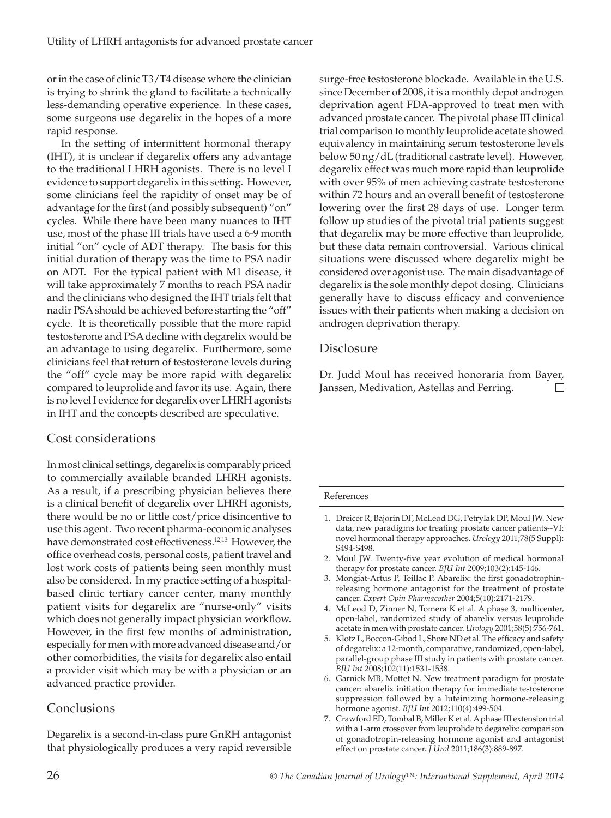or in the case of clinic T3/T4 disease where the clinician is trying to shrink the gland to facilitate a technically less-demanding operative experience. In these cases, some surgeons use degarelix in the hopes of a more rapid response.

In the setting of intermittent hormonal therapy (IHT), it is unclear if degarelix offers any advantage to the traditional LHRH agonists. There is no level I evidence to support degarelix in this setting. However, some clinicians feel the rapidity of onset may be of advantage for the first (and possibly subsequent) "on" cycles. While there have been many nuances to IHT use, most of the phase III trials have used a 6-9 month initial "on" cycle of ADT therapy. The basis for this initial duration of therapy was the time to PSA nadir on ADT. For the typical patient with M1 disease, it will take approximately 7 months to reach PSA nadir and the clinicians who designed the IHT trials felt that nadir PSA should be achieved before starting the "off" cycle. It is theoretically possible that the more rapid testosterone and PSA decline with degarelix would be an advantage to using degarelix. Furthermore, some clinicians feel that return of testosterone levels during the "off" cycle may be more rapid with degarelix compared to leuprolide and favor its use. Again, there is no level I evidence for degarelix over LHRH agonists in IHT and the concepts described are speculative.

## Cost considerations

In most clinical settings, degarelix is comparably priced to commercially available branded LHRH agonists. As a result, if a prescribing physician believes there is a clinical benefit of degarelix over LHRH agonists, there would be no or little cost/price disincentive to use this agent. Two recent pharma-economic analyses have demonstrated cost effectiveness.12,13 However, the office overhead costs, personal costs, patient travel and lost work costs of patients being seen monthly must also be considered. In my practice setting of a hospitalbased clinic tertiary cancer center, many monthly patient visits for degarelix are "nurse-only" visits which does not generally impact physician workflow. However, in the first few months of administration, especially for men with more advanced disease and/or other comorbidities, the visits for degarelix also entail a provider visit which may be with a physician or an advanced practice provider.

## Conclusions

Degarelix is a second-in-class pure GnRH antagonist that physiologically produces a very rapid reversible surge-free testosterone blockade. Available in the U.S. since December of 2008, it is a monthly depot androgen deprivation agent FDA-approved to treat men with advanced prostate cancer. The pivotal phase III clinical trial comparison to monthly leuprolide acetate showed equivalency in maintaining serum testosterone levels below 50 ng/dL (traditional castrate level). However, degarelix effect was much more rapid than leuprolide with over 95% of men achieving castrate testosterone within 72 hours and an overall benefit of testosterone lowering over the first 28 days of use. Longer term follow up studies of the pivotal trial patients suggest that degarelix may be more effective than leuprolide, but these data remain controversial. Various clinical situations were discussed where degarelix might be considered over agonist use. The main disadvantage of degarelix is the sole monthly depot dosing. Clinicians generally have to discuss efficacy and convenience issues with their patients when making a decision on androgen deprivation therapy.

### **Disclosure**

Dr. Judd Moul has received honoraria from Bayer, Janssen, Medivation, Astellas and Ferring.  $\Box$ 

#### References

- 1. Dreicer R, Bajorin DF, McLeod DG, Petrylak DP, Moul JW. New data, new paradigms for treating prostate cancer patients--VI: novel hormonal therapy approaches. *Urology* 2011;78(5 Suppl): S494-S498.
- 2. Moul JW. Twenty-five year evolution of medical hormonal therapy for prostate cancer. *BJU Int* 2009;103(2):145-146.
- 3. Mongiat-Artus P, Teillac P. Abarelix: the first gonadotrophinreleasing hormone antagonist for the treatment of prostate cancer. *Expert Opin Pharmacother* 2004;5(10):2171-2179.
- 4. McLeod D, Zinner N, Tomera K et al. A phase 3, multicenter, open-label, randomized study of abarelix versus leuprolide acetate in men with prostate cancer. *Urology* 2001;58(5):756-761.
- 5. Klotz L, Boccon-Gibod L, Shore ND et al. The efficacy and safety of degarelix: a 12-month, comparative, randomized, open-label, parallel-group phase III study in patients with prostate cancer. *BJU Int* 2008;102(11):1531-1538.
- 6. Garnick MB, Mottet N. New treatment paradigm for prostate cancer: abarelix initiation therapy for immediate testosterone suppression followed by a luteinizing hormone-releasing hormone agonist. *BJU Int* 2012;110(4):499-504.
- 7. Crawford ED, Tombal B, Miller K et al. A phase III extension trial with a 1-arm crossover from leuprolide to degarelix: comparison of gonadotropin-releasing hormone agonist and antagonist effect on prostate cancer. *J Urol* 2011;186(3):889-897.